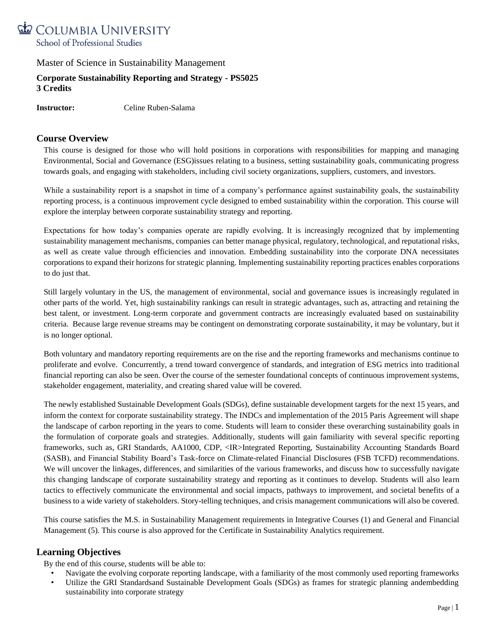

## **Corporate Sustainability Reporting and Strategy - PS5025 3 Credits**

**Instructor:** Celine Ruben-Salama

### **Course Overview**

This course is designed for those who will hold positions in corporations with responsibilities for mapping and managing Environmental, Social and Governance (ESG)issues relating to a business, setting sustainability goals, communicating progress towards goals, and engaging with stakeholders, including civil society organizations, suppliers, customers, and investors.

While a sustainability report is a snapshot in time of a company's performance against sustainability goals, the sustainability reporting process, is a continuous improvement cycle designed to embed sustainability within the corporation. This course will explore the interplay between corporate sustainability strategy and reporting.

Expectations for how today's companies operate are rapidly evolving. It is increasingly recognized that by implementing sustainability management mechanisms, companies can better manage physical, regulatory, technological, and reputational risks, as well as create value through efficiencies and innovation. Embedding sustainability into the corporate DNA necessitates corporations to expand their horizons for strategic planning. Implementing sustainability reporting practices enables corporations to do just that.

Still largely voluntary in the US, the management of environmental, social and governance issues is increasingly regulated in other parts of the world. Yet, high sustainability rankings can result in strategic advantages, such as, attracting and retaining the best talent, or investment. Long-term corporate and government contracts are increasingly evaluated based on sustainability criteria. Because large revenue streams may be contingent on demonstrating corporate sustainability, it may be voluntary, but it is no longer optional.

Both voluntary and mandatory reporting requirements are on the rise and the reporting frameworks and mechanisms continue to proliferate and evolve. Concurrently, a trend toward convergence of standards, and integration of ESG metrics into traditional financial reporting can also be seen. Over the course of the semester foundational concepts of continuous improvement systems, stakeholder engagement, materiality, and creating shared value will be covered.

The newly established Sustainable Development Goals (SDGs), define sustainable development targets for the next 15 years, and inform the context for corporate sustainability strategy. The INDCs and implementation of the 2015 Paris Agreement will shape the landscape of carbon reporting in the years to come. Students will learn to consider these overarching sustainability goals in the formulation of corporate goals and strategies. Additionally, students will gain familiarity with several specific reporting frameworks, such as, GRI Standards, AA1000, CDP, <IR>Integrated Reporting, Sustainability Accounting Standards Board (SASB), and Financial Stability Board's Task-force on Climate-related Financial Disclosures (FSB TCFD) recommendations. We will uncover the linkages, differences, and similarities of the various frameworks, and discuss how to successfully navigate this changing landscape of corporate sustainability strategy and reporting as it continues to develop. Students will also learn tactics to effectively communicate the environmental and social impacts, pathways to improvement, and societal benefits of a business to a wide variety of stakeholders. Story-telling techniques, and crisis management communications will also be covered.

This course satisfies the M.S. in Sustainability Management requirements in Integrative Courses (1) and General and Financial Management (5). This course is also approved for the Certificate in Sustainability Analytics requirement.

### **Learning Objectives**

By the end of this course, students will be able to:

- Navigate the evolving corporate reporting landscape, with a familiarity of the most commonly used reporting frameworks
- Utilize the GRI Standardsand Sustainable Development Goals (SDGs) as frames for strategic planning andembedding sustainability into corporate strategy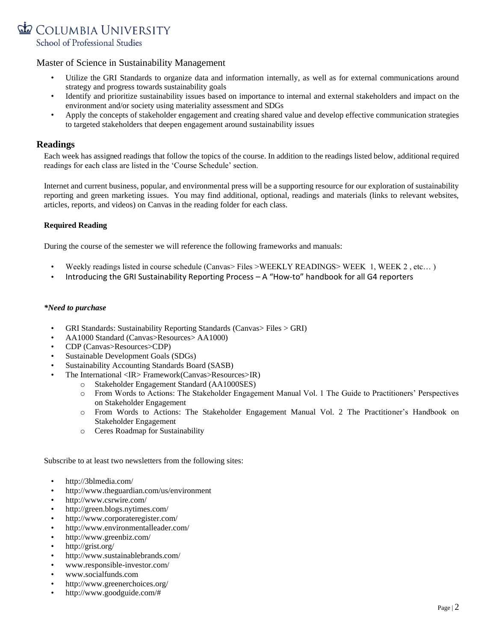

- Utilize the GRI Standards to organize data and information internally, as well as for external communications around strategy and progress towards sustainability goals
- Identify and prioritize sustainability issues based on importance to internal and external stakeholders and impact on the environment and/or society using materiality assessment and SDGs
- Apply the concepts of stakeholder engagement and creating shared value and develop effective communication strategies to targeted stakeholders that deepen engagement around sustainability issues

#### **Readings**

Each week has assigned readings that follow the topics of the course. In addition to the readings listed below, additional required readings for each class are listed in the 'Course Schedule' section.

Internet and current business, popular, and environmental press will be a supporting resource for our exploration of sustainability reporting and green marketing issues. You may find additional, optional, readings and materials (links to relevant websites, articles, reports, and videos) on Canvas in the reading folder for each class.

#### **Required Reading**

During the course of the semester we will reference the following frameworks and manuals:

- Weekly readings listed in course schedule (Canvas> Files >WEEKLY READINGS> WEEK 1, WEEK 2 , etc… )
- [Introducing the GRI Sustainability Reporting Process](https://www.globalreporting.org/services/preparation/Publications/Pages/e-shop.aspx)  A "How-to" handbook for all G4 reporters

#### *\*Need to purchase*

- GRI Standards: Sustainability Reporting Standards (Canvas> Files > GRI)
- AA1000 Standard (Canvas>Resources> AA1000)
- CDP (Canvas>Resources>CDP)
- [Sustainable Development Goals \(SDGs\)](https://sustainabledevelopment.un.org/sdgs)
- [Sustainability Accounting Standards Board \(SASB\)](http://www.sasb.org/)
- [The International <IR> Framework\(](http://integratedreporting.org/wp-content/uploads/2015/03/13-12-08-THE-INTERNATIONAL-IR-FRAMEWORK-2-1.pdf)Canvas>Resources>IR)
	- o Stakeholder Engagement Standard (AA1000SES)
	- o From Words to Actions: The Stakeholder Engagement Manual Vol. 1 The Guide to Practitioners' Perspectives on Stakeholder Engagement
	- o From Words to Actions: The Stakeholder Engagement Manual Vol. 2 The Practitioner's Handbook on Stakeholder Engagement
	- o Ceres Roadmap for Sustainability

Subscribe to at least two newsletters from the following sites:

- <http://3blmedia.com/>
- http://www.theguardian.com/us/environment
- <http://www.csrwire.com/>
- <http://green.blogs.nytimes.com/>
- <http://www.corporateregister.com/>
- <http://www.environmentalleader.com/>
- <http://www.greenbiz.com/>
- <http://grist.org/>
- <http://www.sustainablebrands.com/>
- [www.responsible-investor.com/](http://www.responsible-investor.com/)
- [www.socialfunds.com](http://www.socialfunds.com/)
- <http://www.greenerchoices.org/>
- [http://www.goodguide.com/#](http://www.goodguide.com/)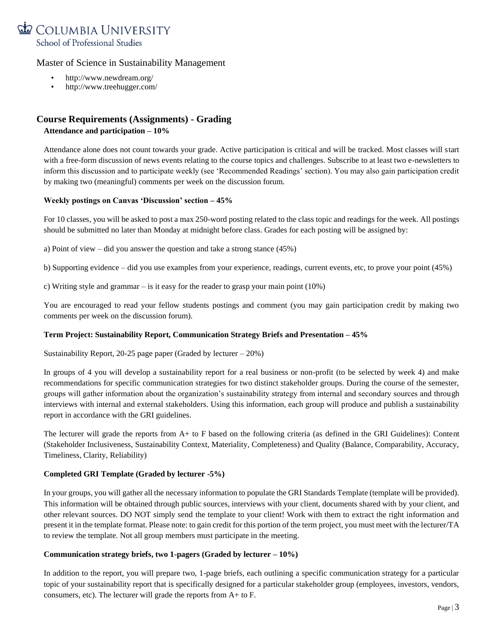

- <http://www.newdream.org/>
- <http://www.treehugger.com/>

# **Course Requirements (Assignments) - Grading Attendance and participation – 10%**

Attendance alone does not count towards your grade. Active participation is critical and will be tracked. Most classes will start with a free-form discussion of news events relating to the course topics and challenges. Subscribe to at least two e-newsletters to inform this discussion and to participate weekly (see 'Recommended Readings' section). You may also gain participation credit by making two (meaningful) comments per week on the discussion forum.

#### **Weekly postings on Canvas 'Discussion' section – 45%**

For 10 classes, you will be asked to post a max 250-word posting related to the class topic and readings for the week. All postings should be submitted no later than Monday at midnight before class. Grades for each posting will be assigned by:

a) Point of view – did you answer the question and take a strong stance (45%)

b) Supporting evidence – did you use examples from your experience, readings, current events, etc, to prove your point (45%)

c) Writing style and grammar – is it easy for the reader to grasp your main point (10%)

You are encouraged to read your fellow students postings and comment (you may gain participation credit by making two comments per week on the discussion forum).

### **Term Project: Sustainability Report, Communication Strategy Briefs and Presentation – 45%**

Sustainability Report, 20-25 page paper (Graded by lecturer – 20%)

In groups of 4 you will develop a sustainability report for a real business or non-profit (to be selected by week 4) and make recommendations for specific communication strategies for two distinct stakeholder groups. During the course of the semester, groups will gather information about the organization's sustainability strategy from internal and secondary sources and through interviews with internal and external stakeholders. Using this information, each group will produce and publish a sustainability report in accordance with the GRI guidelines.

The lecturer will grade the reports from A+ to F based on the following criteria (as defined in the GRI Guidelines): Content (Stakeholder Inclusiveness, Sustainability Context, Materiality, Completeness) and Quality (Balance, Comparability, Accuracy, Timeliness, Clarity, Reliability)

### **Completed GRI Template (Graded by lecturer -5%)**

In your groups, you will gather all the necessary information to populate the GRI Standards Template (template will be provided). This information will be obtained through public sources, interviews with your client, documents shared with by your client, and other relevant sources. DO NOT simply send the template to your client! Work with them to extract the right information and present it in the template format. Please note: to gain credit for this portion of the term project, you must meet with the lecturer/TA to review the template. Not all group members must participate in the meeting.

#### **Communication strategy briefs, two 1-pagers (Graded by lecturer – 10%)**

In addition to the report, you will prepare two, 1-page briefs, each outlining a specific communication strategy for a particular topic of your sustainability report that is specifically designed for a particular stakeholder group (employees, investors, vendors, consumers, etc). The lecturer will grade the reports from A+ to F.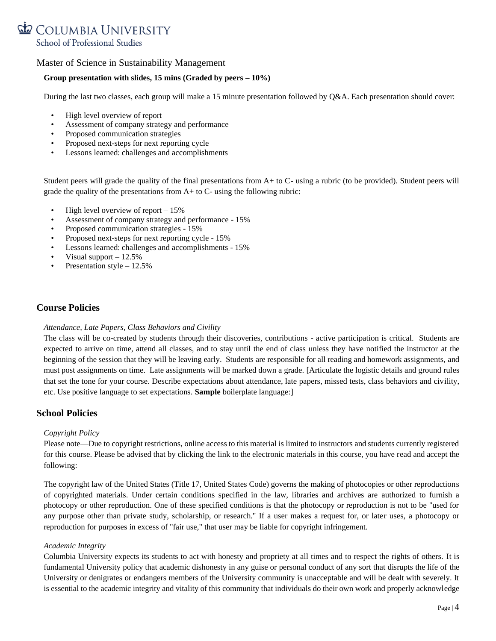

#### **Group presentation with slides, 15 mins (Graded by peers – 10%)**

During the last two classes, each group will make a 15 minute presentation followed by Q&A. Each presentation should cover:

- High level overview of report
- Assessment of company strategy and performance
- Proposed communication strategies
- Proposed next-steps for next reporting cycle
- Lessons learned: challenges and accomplishments

Student peers will grade the quality of the final presentations from A+ to C- using a rubric (to be provided). Student peers will grade the quality of the presentations from  $A$  + to  $C$ - using the following rubric:

- High level overview of report 15%
- Assessment of company strategy and performance 15%
- Proposed communication strategies 15%
- Proposed next-steps for next reporting cycle 15%
- Lessons learned: challenges and accomplishments 15%
- Visual support  $-12.5%$
- Presentation style 12.5%

## **Course Policies**

#### *Attendance, Late Papers, Class Behaviors and Civility*

The class will be co-created by students through their discoveries, contributions - active participation is critical. Students are expected to arrive on time, attend all classes, and to stay until the end of class unless they have notified the instructor at the beginning of the session that they will be leaving early. Students are responsible for all reading and homework assignments, and must post assignments on time. Late assignments will be marked down a grade. [Articulate the logistic details and ground rules that set the tone for your course. Describe expectations about attendance, late papers, missed tests, class behaviors and civility, etc. Use positive language to set expectations. **Sample** boilerplate language:]

### **School Policies**

#### *Copyright Policy*

Please note—Due to copyright restrictions, online access to this material is limited to instructors and students currently registered for this course. Please be advised that by clicking the link to the electronic materials in this course, you have read and accept the following:

The copyright law of the United States (Title 17, United States Code) governs the making of photocopies or other reproductions of copyrighted materials. Under certain conditions specified in the law, libraries and archives are authorized to furnish a photocopy or other reproduction. One of these specified conditions is that the photocopy or reproduction is not to be "used for any purpose other than private study, scholarship, or research." If a user makes a request for, or later uses, a photocopy or reproduction for purposes in excess of "fair use," that user may be liable for copyright infringement.

#### *Academic Integrity*

Columbia University expects its students to act with honesty and propriety at all times and to respect the rights of others. It is fundamental University policy that academic dishonesty in any guise or personal conduct of any sort that disrupts the life of the University or denigrates or endangers members of the University community is unacceptable and will be dealt with severely. It is essential to the academic integrity and vitality of this community that individuals do their own work and properly acknowledge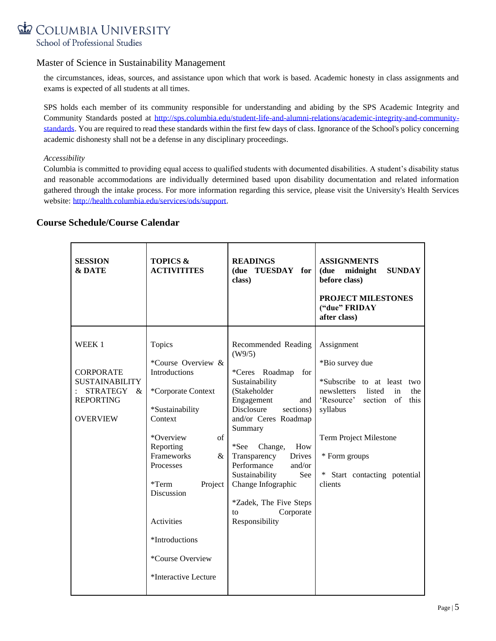# COLUMBIA UNIVERSITY School of Professional Studies

## Master of Science in Sustainability Management

the circumstances, ideas, sources, and assistance upon which that work is based. Academic honesty in class assignments and exams is expected of all students at all times.

SPS holds each member of its community responsible for understanding and abiding by the SPS Academic Integrity and Community Standards posted at [http://sps.columbia.edu/student-life-and-alumni-relations/academic-integrity-and-community](http://sps.columbia.edu/student-life-and-alumni-relations/academic-integrity-and-community-standards)[standards.](http://sps.columbia.edu/student-life-and-alumni-relations/academic-integrity-and-community-standards) You are required to read these standards within the first few days of class. Ignorance of the School's policy concerning academic dishonesty shall not be a defense in any disciplinary proceedings.

#### *Accessibility*

Columbia is committed to providing equal access to qualified students with documented disabilities. A student's disability status and reasonable accommodations are individually determined based upon disability documentation and related information gathered through the intake process. For more information regarding this service, please visit the University's Health Services website: [http://health.columbia.edu/services/ods/support.](http://health.columbia.edu/services/ods/support)

## **Course Schedule/Course Calendar**

| <b>SESSION</b><br><b>&amp; DATE</b>                                                                            | <b>TOPICS &amp;</b><br><b>ACTIVITITES</b>                                                                                                                                                                                                                                                       | <b>READINGS</b><br>(due TUESDAY for<br>class)                                                                                                                                                                                                                                                                                                                                   | <b>ASSIGNMENTS</b><br>midnight<br><b>SUNDAY</b><br>(due<br>before class)<br>PROJECT MILESTONES<br>("due" FRIDAY<br>after class)                                                                                                         |
|----------------------------------------------------------------------------------------------------------------|-------------------------------------------------------------------------------------------------------------------------------------------------------------------------------------------------------------------------------------------------------------------------------------------------|---------------------------------------------------------------------------------------------------------------------------------------------------------------------------------------------------------------------------------------------------------------------------------------------------------------------------------------------------------------------------------|-----------------------------------------------------------------------------------------------------------------------------------------------------------------------------------------------------------------------------------------|
| WEEK 1<br><b>CORPORATE</b><br><b>SUSTAINABILITY</b><br>STRATEGY<br>$\&$<br><b>REPORTING</b><br><b>OVERVIEW</b> | Topics<br>*Course Overview &<br><b>Introductions</b><br>*Corporate Context<br>*Sustainability<br>Context<br>*Overview<br>of<br>Reporting<br>Frameworks<br>&<br>Processes<br>$*Term$<br>Project<br>Discussion<br>Activities<br>*Introductions<br><i>*Course Overview</i><br>*Interactive Lecture | Recommended Reading<br>(W9/5)<br>*Ceres Roadmap<br>for<br>Sustainability<br>(Stakeholder<br>Engagement<br>and 1<br><b>Disclosure</b><br>sections)<br>and/or Ceres Roadmap<br>Summary<br>*See<br>How<br>Change,<br>Transparency<br>Drives<br>Performance<br>and/or<br>See<br>Sustainability<br>Change Infographic<br>*Zadek, The Five Steps<br>Corporate<br>to<br>Responsibility | Assignment<br>*Bio survey due<br>*Subscribe to at least two<br>newsletters<br>listed<br>in<br>the<br>'Resource'<br>section of<br>this<br>syllabus<br>Term Project Milestone<br>* Form groups<br>* Start contacting potential<br>clients |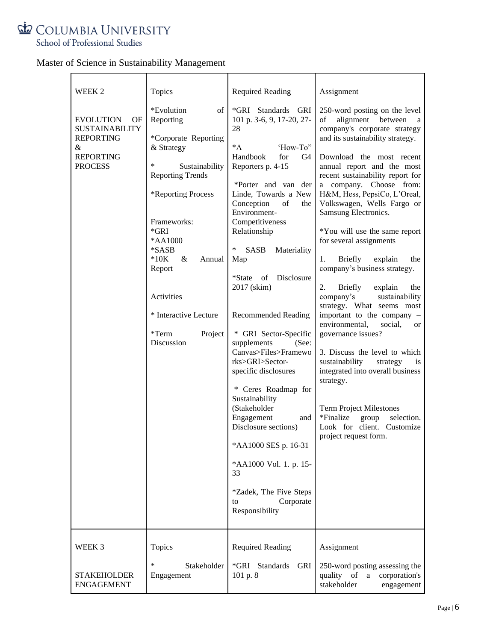

| WEEK 2                                                                                                         | Topics                                                                                                                                                                                                                                                                                                | <b>Required Reading</b>                                                                                                                                                                                                                                                                                                                                                                                                                                                                                                                                                                                                                                                                                                     | Assignment                                                                                                                                                                                                                                                                                                                                                                                                                                                                                                                                                                                                                                                                                                                                                                                                                                                                                                                      |
|----------------------------------------------------------------------------------------------------------------|-------------------------------------------------------------------------------------------------------------------------------------------------------------------------------------------------------------------------------------------------------------------------------------------------------|-----------------------------------------------------------------------------------------------------------------------------------------------------------------------------------------------------------------------------------------------------------------------------------------------------------------------------------------------------------------------------------------------------------------------------------------------------------------------------------------------------------------------------------------------------------------------------------------------------------------------------------------------------------------------------------------------------------------------------|---------------------------------------------------------------------------------------------------------------------------------------------------------------------------------------------------------------------------------------------------------------------------------------------------------------------------------------------------------------------------------------------------------------------------------------------------------------------------------------------------------------------------------------------------------------------------------------------------------------------------------------------------------------------------------------------------------------------------------------------------------------------------------------------------------------------------------------------------------------------------------------------------------------------------------|
| <b>EVOLUTION</b><br>OF<br><b>SUSTAINABILITY</b><br><b>REPORTING</b><br>&<br><b>REPORTING</b><br><b>PROCESS</b> | *Evolution<br>οf<br>Reporting<br>*Corporate Reporting<br>& Strategy<br>∗<br>Sustainability<br><b>Reporting Trends</b><br>*Reporting Process<br>Frameworks:<br>$*$ GRI<br>*AA1000<br>*SASB<br>$*10K$<br>&<br>Annual<br>Report<br>Activities<br>* Interactive Lecture<br>*Term<br>Project<br>Discussion | *GRI Standards GRI<br>101 p. 3-6, 9, 17-20, 27-<br>28<br>'How-To"<br>$^*A$<br>Handbook<br>for<br>G4<br>Reporters p. 4-15<br>*Porter and van der<br>Linde, Towards a New<br>Conception<br>of<br>the<br>Environment-<br>Competitiveness<br>Relationship<br>∗<br><b>SASB</b><br>Materiality<br>Map<br>Disclosure<br>*State<br>of<br>2017 (skim)<br><b>Recommended Reading</b><br>* GRI Sector-Specific<br>supplements<br>(See:<br>Canvas>Files>Framewo<br>rks>GRI>Sector-<br>specific disclosures<br>* Ceres Roadmap for<br>Sustainability<br>(Stakeholder<br>Engagement<br>and<br>Disclosure sections)<br>*AA1000 SES p. 16-31<br>*AA1000 Vol. 1. p. 15-<br>33<br>*Zadek, The Five Steps<br>Corporate<br>to<br>Responsibility | 250-word posting on the level<br>alignment between<br>of<br>a<br>company's corporate strategy<br>and its sustainability strategy.<br>Download the most recent<br>annual report and the most<br>recent sustainability report for<br>a company. Choose from:<br>H&M, Hess, PepsiCo, L'Oreal,<br>Volkswagen, Wells Fargo or<br>Samsung Electronics.<br>*You will use the same report<br>for several assignments<br>Briefly<br>1.<br>explain<br>the<br>company's business strategy.<br><b>Briefly</b><br>2.<br>explain<br>the<br>company's<br>sustainability<br>strategy. What seems most<br>important to the company -<br>environmental,<br>social,<br>or<br>governance issues?<br>3. Discuss the level to which<br>sustainability<br>strategy<br>1S<br>integrated into overall business<br>strategy.<br><b>Term Project Milestones</b><br>*Finalize<br>group<br>selection.<br>Look for client. Customize<br>project request form. |
| WEEK 3<br><b>STAKEHOLDER</b><br><b>ENGAGEMENT</b>                                                              | Topics<br>∗<br>Stakeholder<br>Engagement                                                                                                                                                                                                                                                              | <b>Required Reading</b><br>*GRI Standards<br>GRI<br>101 p. 8                                                                                                                                                                                                                                                                                                                                                                                                                                                                                                                                                                                                                                                                | Assignment<br>250-word posting assessing the<br>quality of<br>a<br>corporation's<br>stakeholder<br>engagement                                                                                                                                                                                                                                                                                                                                                                                                                                                                                                                                                                                                                                                                                                                                                                                                                   |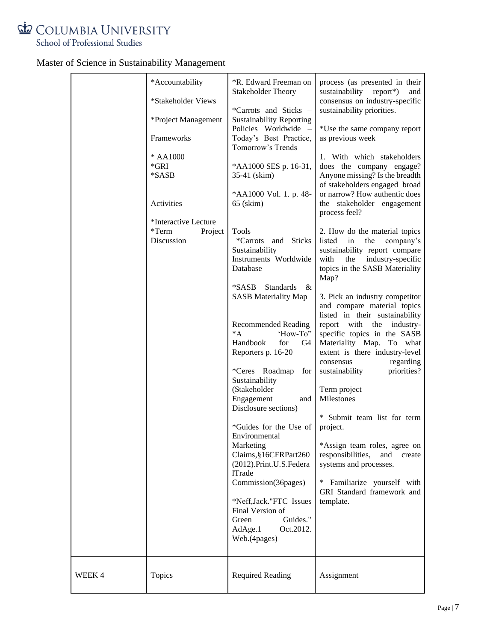

|        | *Accountability                                                                                                                                                | *R. Edward Freeman on<br><b>Stakeholder Theory</b>                                                                                                                                                                                                                                                                                                                                                                                                                                                                                                                                                                                                                                                                                                                                                                                                    | process (as presented in their<br>sustainability report*)<br>and                                                                                                                                                                                                                                                                                                                                                                                                                                                                                                                                                                                                                                                                                                                                                                                                                                                                                                                                                                                                              |
|--------|----------------------------------------------------------------------------------------------------------------------------------------------------------------|-------------------------------------------------------------------------------------------------------------------------------------------------------------------------------------------------------------------------------------------------------------------------------------------------------------------------------------------------------------------------------------------------------------------------------------------------------------------------------------------------------------------------------------------------------------------------------------------------------------------------------------------------------------------------------------------------------------------------------------------------------------------------------------------------------------------------------------------------------|-------------------------------------------------------------------------------------------------------------------------------------------------------------------------------------------------------------------------------------------------------------------------------------------------------------------------------------------------------------------------------------------------------------------------------------------------------------------------------------------------------------------------------------------------------------------------------------------------------------------------------------------------------------------------------------------------------------------------------------------------------------------------------------------------------------------------------------------------------------------------------------------------------------------------------------------------------------------------------------------------------------------------------------------------------------------------------|
|        | *Stakeholder Views<br>*Project Management<br>Frameworks<br>* AA1000<br>$*GRI$<br>*SASB<br>Activities<br>*Interactive Lecture<br>*Term<br>Project<br>Discussion | *Carrots and Sticks -<br><b>Sustainability Reporting</b><br>Policies Worldwide -<br>Today's Best Practice,<br>Tomorrow's Trends<br>*AA1000 SES p. 16-31,<br>35-41 (skim)<br>*AA1000 Vol. 1. p. 48-<br>$65$ (skim)<br>Tools<br>*Carrots<br>and Sticks<br>Sustainability<br>Instruments Worldwide<br>Database<br><b>Standards</b><br>*SASB<br>&<br><b>SASB</b> Materiality Map<br><b>Recommended Reading</b><br>$^*A$<br>'How-To"<br>Handbook<br>for<br>G4<br>Reporters p. 16-20<br>*Ceres Roadmap<br>for<br>Sustainability<br>(Stakeholder<br>Engagement<br>and<br>Disclosure sections)<br>*Guides for the Use of<br>Environmental<br>Marketing<br>Claims, §16CFRPart260<br>(2012).Print.U.S.Federa<br><b>1Trade</b><br>Commission(36pages)<br>*Neff,Jack."FTC Issues<br>Final Version of<br>Guides."<br>Green<br>AdAge.1<br>Oct.2012.<br>Web.(4pages) | consensus on industry-specific<br>sustainability priorities.<br>*Use the same company report<br>as previous week<br>1. With which stakeholders<br>does the company engage?<br>Anyone missing? Is the breadth<br>of stakeholders engaged broad<br>or narrow? How authentic does<br>the stakeholder engagement<br>process feel?<br>2. How do the material topics<br>listed<br>the<br>in<br>company's<br>sustainability report compare<br>industry-specific<br>with<br>the<br>topics in the SASB Materiality<br>Map?<br>3. Pick an industry competitor<br>and compare material topics<br>listed in their sustainability<br>report<br>with<br>the<br>industry-<br>specific topics in the SASB<br>Materiality Map. To what<br>extent is there industry-level<br>regarding<br>consensus<br>priorities?<br>sustainability<br>Term project<br>Milestones<br>* Submit team list for term<br>project.<br>*Assign team roles, agree on<br>responsibilities,<br>and<br>create<br>systems and processes.<br>$\ast$<br>Familiarize yourself with<br>GRI Standard framework and<br>template. |
| WEEK 4 | Topics                                                                                                                                                         | <b>Required Reading</b>                                                                                                                                                                                                                                                                                                                                                                                                                                                                                                                                                                                                                                                                                                                                                                                                                               | Assignment                                                                                                                                                                                                                                                                                                                                                                                                                                                                                                                                                                                                                                                                                                                                                                                                                                                                                                                                                                                                                                                                    |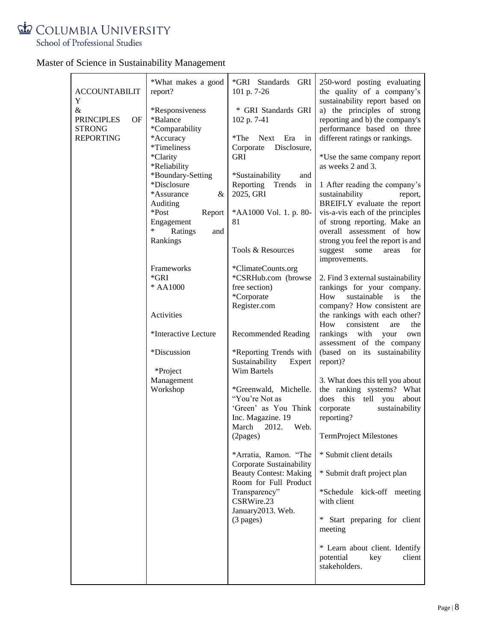

|  |  | Master of Science in Sustainability Management |  |
|--|--|------------------------------------------------|--|
|  |  |                                                |  |

| <b>ACCOUNTABILIT</b><br>Y                                         | *What makes a good<br>report?                                                     | *GRI Standards<br>GRI<br>101 p. 7-26                                                                     | 250-word posting evaluating<br>the quality of a company's<br>sustainability report based on                                                  |
|-------------------------------------------------------------------|-----------------------------------------------------------------------------------|----------------------------------------------------------------------------------------------------------|----------------------------------------------------------------------------------------------------------------------------------------------|
| &<br><b>PRINCIPLES</b><br>OF<br><b>STRONG</b><br><b>REPORTING</b> | *Responsiveness<br>*Balance<br>*Comparability<br>*Accuracy                        | * GRI Standards GRI<br>102 p. 7-41<br>$*$ The<br>Next Era<br>in                                          | a) the principles of strong<br>reporting and b) the company's<br>performance based on three<br>different ratings or rankings.                |
|                                                                   | *Timeliness<br>*Clarity<br>*Reliability                                           | Disclosure,<br>Corporate<br><b>GRI</b>                                                                   | *Use the same company report<br>as weeks 2 and 3.                                                                                            |
|                                                                   | *Boundary-Setting<br>*Disclosure<br>*Assurance<br>&                               | *Sustainability<br>and<br>Reporting Trends<br>in<br>2025, GRI                                            | 1 After reading the company's<br>sustainability<br>report,<br>BREIFLY evaluate the report                                                    |
|                                                                   | Auditing<br>*Post<br>Report<br>Engagement<br>$\ast$<br>Ratings<br>and<br>Rankings | *AA1000 Vol. 1. p. 80-<br>81                                                                             | vis-a-vis each of the principles<br>of strong reporting. Make an<br>overall assessment of how<br>strong you feel the report is and           |
|                                                                   |                                                                                   | Tools & Resources                                                                                        | suggest<br>for<br>some<br>areas<br>improvements.                                                                                             |
|                                                                   | Frameworks<br>$*GRI$<br>* AA1000                                                  | *ClimateCounts.org<br>*CSRHub.com (browse<br>free section)<br>*Corporate<br>Register.com                 | 2. Find 3 external sustainability<br>rankings for your company.<br>sustainable<br>How<br>is<br>the<br>company? How consistent are            |
|                                                                   | Activities                                                                        |                                                                                                          | the rankings with each other?<br>How<br>consistent<br>the<br>are                                                                             |
|                                                                   | *Interactive Lecture<br>*Discussion                                               | <b>Recommended Reading</b><br>*Reporting Trends with                                                     | rankings<br>with your<br>own<br>assessment of the company<br>(based on its sustainability                                                    |
|                                                                   | *Project                                                                          | Sustainability<br>Expert<br>Wim Bartels                                                                  | report)?                                                                                                                                     |
|                                                                   | Management<br>Workshop                                                            | *Greenwald, Michelle.<br>"You're Not as<br>'Green' as You Think<br>Inc. Magazine. 19<br>March 2012. Web. | 3. What does this tell you about<br>the ranking systems? What<br>does<br>this tell you<br>about<br>corporate<br>sustainability<br>reporting? |
|                                                                   |                                                                                   | (2 <sub>pages</sub> )                                                                                    | <b>TermProject Milestones</b>                                                                                                                |
|                                                                   |                                                                                   | *Arratia, Ramon. "The<br>Corporate Sustainability                                                        | * Submit client details                                                                                                                      |
|                                                                   |                                                                                   | <b>Beauty Contest: Making</b><br>Room for Full Product<br>Transparency"                                  | * Submit draft project plan<br>*Schedule kick-off meeting                                                                                    |
|                                                                   |                                                                                   | CSRWire.23<br>January 2013. Web.                                                                         | with client                                                                                                                                  |
|                                                                   |                                                                                   | $(3$ pages)                                                                                              | Start preparing for client<br>*<br>meeting                                                                                                   |
|                                                                   |                                                                                   |                                                                                                          | * Learn about client. Identify<br>potential<br>key<br>client<br>stakeholders.                                                                |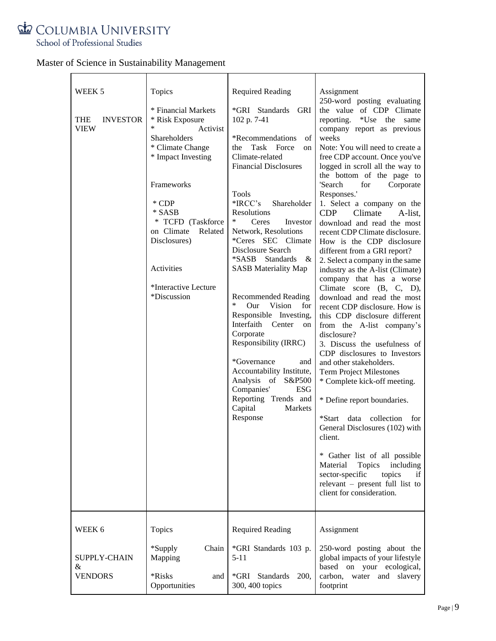

|  | Master of Science in Sustainability Management |  |
|--|------------------------------------------------|--|
|  |                                                |  |

| WEEK 5<br><b>THE</b><br><b>INVESTOR</b><br><b>VIEW</b> | Topics<br>* Financial Markets<br>* Risk Exposure<br>Activist<br>Shareholders<br>* Climate Change<br>* Impact Investing<br>Frameworks<br>* CDP<br>* SASB<br>* TCFD (Taskforce<br>on Climate<br>Related<br>Disclosures)<br>Activities<br>*Interactive Lecture<br>*Discussion | <b>Required Reading</b><br>*GRI Standards GRI<br>102 p. 7-41<br>*Recommendations<br>of<br>Task Force<br>the<br>on<br>Climate-related<br><b>Financial Disclosures</b><br>Tools<br>$*IRCC's$<br>Shareholder<br><b>Resolutions</b><br>∗<br>Ceres<br>Investor<br>Network, Resolutions<br>*Ceres SEC Climate<br>Disclosure Search<br><i>*SASB</i> Standards<br>$\&$<br><b>SASB Materiality Map</b><br><b>Recommended Reading</b><br>*<br>Our<br>Vision<br>for<br>Responsible Investing,<br>Interfaith Center<br>on<br>Corporate<br>Responsibility (IRRC)<br>*Governance<br>and<br>Accountability Institute,<br>Analysis of S&P500<br>Companies'<br><b>ESG</b><br>Reporting Trends and<br>Capital<br>Markets<br>Response | Assignment<br>250-word posting evaluating<br>the value of CDP Climate<br>reporting.<br>*Use the<br>same<br>company report as previous<br>weeks<br>Note: You will need to create a<br>free CDP account. Once you've<br>logged in scroll all the way to<br>the bottom of the page to<br>'Search<br>for<br>Corporate<br>Responses.'<br>1. Select a company on the<br><b>CDP</b><br>Climate<br>A-list.<br>download and read the most<br>recent CDP Climate disclosure.<br>How is the CDP disclosure<br>different from a GRI report?<br>2. Select a company in the same<br>industry as the A-list (Climate)<br>company that has a worse<br>Climate score (B, C, D),<br>download and read the most<br>recent CDP disclosure. How is<br>this CDP disclosure different<br>from the A-list company's<br>disclosure?<br>3. Discuss the usefulness of<br>CDP disclosures to Investors<br>and other stakeholders.<br><b>Term Project Milestones</b><br>* Complete kick-off meeting.<br>* Define report boundaries.<br>*Start<br>data collection<br>for<br>General Disclosures (102) with<br>client.<br>* Gather list of all possible<br>Topics<br>Material<br>including<br>sector-specific<br>topics<br>if<br>relevant $-$ present full list to<br>client for consideration. |
|--------------------------------------------------------|----------------------------------------------------------------------------------------------------------------------------------------------------------------------------------------------------------------------------------------------------------------------------|--------------------------------------------------------------------------------------------------------------------------------------------------------------------------------------------------------------------------------------------------------------------------------------------------------------------------------------------------------------------------------------------------------------------------------------------------------------------------------------------------------------------------------------------------------------------------------------------------------------------------------------------------------------------------------------------------------------------|------------------------------------------------------------------------------------------------------------------------------------------------------------------------------------------------------------------------------------------------------------------------------------------------------------------------------------------------------------------------------------------------------------------------------------------------------------------------------------------------------------------------------------------------------------------------------------------------------------------------------------------------------------------------------------------------------------------------------------------------------------------------------------------------------------------------------------------------------------------------------------------------------------------------------------------------------------------------------------------------------------------------------------------------------------------------------------------------------------------------------------------------------------------------------------------------------------------------------------------------------------------|
| WEEK 6                                                 | Topics                                                                                                                                                                                                                                                                     | <b>Required Reading</b>                                                                                                                                                                                                                                                                                                                                                                                                                                                                                                                                                                                                                                                                                            | Assignment                                                                                                                                                                                                                                                                                                                                                                                                                                                                                                                                                                                                                                                                                                                                                                                                                                                                                                                                                                                                                                                                                                                                                                                                                                                       |
|                                                        |                                                                                                                                                                                                                                                                            |                                                                                                                                                                                                                                                                                                                                                                                                                                                                                                                                                                                                                                                                                                                    |                                                                                                                                                                                                                                                                                                                                                                                                                                                                                                                                                                                                                                                                                                                                                                                                                                                                                                                                                                                                                                                                                                                                                                                                                                                                  |
| SUPPLY-CHAIN<br>$\&$<br><b>VENDORS</b>                 | *Supply<br>Chain<br>Mapping<br>*Risks<br>and<br>Opportunities                                                                                                                                                                                                              | *GRI Standards 103 p.<br>$5 - 11$<br>*GRI Standards<br><b>200.</b><br>300, 400 topics                                                                                                                                                                                                                                                                                                                                                                                                                                                                                                                                                                                                                              | 250-word posting about the<br>global impacts of your lifestyle<br>based on your ecological,<br>carbon, water and slavery<br>footprint                                                                                                                                                                                                                                                                                                                                                                                                                                                                                                                                                                                                                                                                                                                                                                                                                                                                                                                                                                                                                                                                                                                            |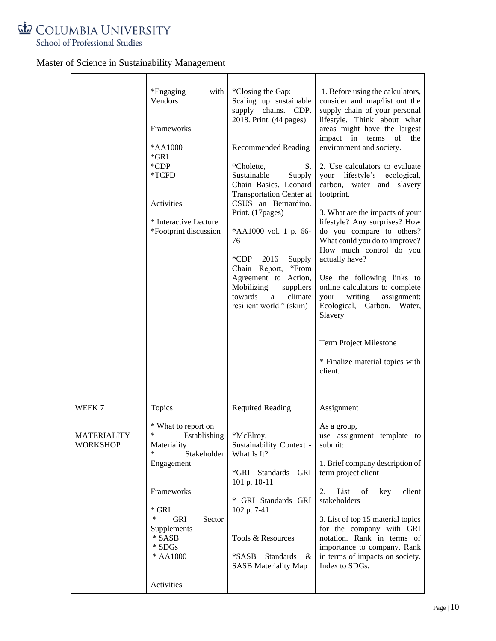

|                                                 | *Engaging<br>with<br>Vendors<br>Frameworks<br>*AA1000<br>*GRI<br>$^*$ CDP<br>*TCFD<br>Activities<br>* Interactive Lecture<br>*Footprint discussion                                                              | *Closing the Gap:<br>Scaling up sustainable<br>supply chains. CDP.<br>2018. Print. (44 pages)<br><b>Recommended Reading</b><br>*Cholette,<br>S.<br>Sustainable<br>Supply<br>Chain Basics. Leonard<br><b>Transportation Center at</b><br>CSUS an Bernardino.<br>Print. (17pages)<br>*AA1000 vol. 1 p. 66-<br>76<br>*CDP<br>2016<br>Supply<br>"From<br>Chain Report,<br>Agreement to Action,<br>Mobilizing<br>suppliers<br>towards<br>climate<br>a<br>resilient world." (skim) | 1. Before using the calculators,<br>consider and map/list out the<br>supply chain of your personal<br>lifestyle. Think about what<br>areas might have the largest<br>impact in terms of<br>the<br>environment and society.<br>2. Use calculators to evaluate<br>your lifestyle's ecological,<br>carbon, water and slavery<br>footprint.<br>3. What are the impacts of your<br>lifestyle? Any surprises? How<br>do you compare to others?<br>What could you do to improve?<br>How much control do you<br>actually have?<br>Use the following links to<br>online calculators to complete<br>writing<br>assignment:<br>your<br>Ecological, Carbon, Water,<br>Slavery |
|-------------------------------------------------|-----------------------------------------------------------------------------------------------------------------------------------------------------------------------------------------------------------------|------------------------------------------------------------------------------------------------------------------------------------------------------------------------------------------------------------------------------------------------------------------------------------------------------------------------------------------------------------------------------------------------------------------------------------------------------------------------------|-------------------------------------------------------------------------------------------------------------------------------------------------------------------------------------------------------------------------------------------------------------------------------------------------------------------------------------------------------------------------------------------------------------------------------------------------------------------------------------------------------------------------------------------------------------------------------------------------------------------------------------------------------------------|
|                                                 |                                                                                                                                                                                                                 |                                                                                                                                                                                                                                                                                                                                                                                                                                                                              | Term Project Milestone<br>* Finalize material topics with<br>client.                                                                                                                                                                                                                                                                                                                                                                                                                                                                                                                                                                                              |
| WEEK 7<br><b>MATERIALITY</b><br><b>WORKSHOP</b> | Topics<br>* What to report on<br>*<br>Establishing<br>Materiality<br>Stakeholder<br>Engagement<br>Frameworks<br>$*$ GRI<br>∗<br>GRI<br>Sector<br>Supplements<br>* SASB<br>$\,^*$ SDGs<br>* AA1000<br>Activities | <b>Required Reading</b><br>*McElroy,<br>Sustainability Context -<br>What Is It?<br>*GRI Standards<br>GRI<br>101 p. 10-11<br>* GRI Standards GRI<br>102 p. 7-41<br>Tools & Resources<br>*SASB<br><b>Standards</b><br>&<br><b>SASB Materiality Map</b>                                                                                                                                                                                                                         | Assignment<br>As a group,<br>use assignment template to<br>submit:<br>1. Brief company description of<br>term project client<br>List of<br>2.<br>key<br>client<br>stakeholders<br>3. List of top 15 material topics<br>for the company with GRI<br>notation. Rank in terms of<br>importance to company. Rank<br>in terms of impacts on society.<br>Index to SDGs.                                                                                                                                                                                                                                                                                                 |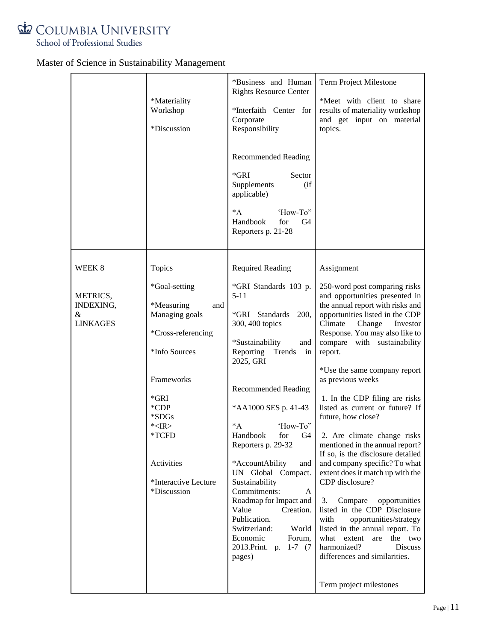

|                                                         | *Materiality<br>Workshop<br>*Discussion                                                                                                                                                                               | *Business and Human<br><b>Rights Resource Center</b><br>*Interfaith Center for<br>Corporate<br>Responsibility<br><b>Recommended Reading</b><br>$*GRI$<br>Sector<br>Supplements<br>(if)<br>applicable)<br>$^*A$<br>'How-To"<br>Handbook<br>for<br>G4<br>Reporters p. 21-28                                                                                                                                                                                                                                                                 | Term Project Milestone<br>*Meet with client to share<br>results of materiality workshop<br>and get input on material<br>topics.                                                                                                                                                                                                                                                                                                                                                                                                                                                                                                                                                                                                                                                                                                                                          |
|---------------------------------------------------------|-----------------------------------------------------------------------------------------------------------------------------------------------------------------------------------------------------------------------|-------------------------------------------------------------------------------------------------------------------------------------------------------------------------------------------------------------------------------------------------------------------------------------------------------------------------------------------------------------------------------------------------------------------------------------------------------------------------------------------------------------------------------------------|--------------------------------------------------------------------------------------------------------------------------------------------------------------------------------------------------------------------------------------------------------------------------------------------------------------------------------------------------------------------------------------------------------------------------------------------------------------------------------------------------------------------------------------------------------------------------------------------------------------------------------------------------------------------------------------------------------------------------------------------------------------------------------------------------------------------------------------------------------------------------|
| WEEK 8<br>METRICS,<br>INDEXING,<br>&<br><b>LINKAGES</b> | Topics<br>*Goal-setting<br>*Measuring<br>and<br>Managing goals<br>*Cross-referencing<br>*Info Sources<br>Frameworks<br>*GRI<br>$^*$ CDP<br>*SDGs<br>K>E<br>*TCFD<br>Activities<br>*Interactive Lecture<br>*Discussion | <b>Required Reading</b><br>*GRI Standards 103 p.<br>$5 - 11$<br>*GRI Standards<br>200,<br>300, 400 topics<br>*Sustainability<br>and<br>Reporting Trends<br>in<br>2025, GRI<br><b>Recommended Reading</b><br>*AA1000 SES p. 41-43<br>$^*A$<br>'How-To"<br>Handbook for G4<br>Reporters p. 29-32<br>*AccountAbility<br>and<br>UN Global Compact.<br>Sustainability<br>Commitments:<br>A<br>Roadmap for Impact and<br>Value<br>Creation.<br>Publication.<br>Switzerland:<br>World<br>Economic<br>Forum,<br>2013. Print. p. 1-7 (7)<br>pages) | Assignment<br>250-word post comparing risks<br>and opportunities presented in<br>the annual report with risks and<br>opportunities listed in the CDP<br>Climate<br>Change<br>Investor<br>Response. You may also like to<br>compare with sustainability<br>report.<br>*Use the same company report<br>as previous weeks<br>1. In the CDP filing are risks<br>listed as current or future? If<br>future, how close?<br>2. Are climate change risks<br>mentioned in the annual report?<br>If so, is the disclosure detailed<br>and company specific? To what<br>extent does it match up with the<br>CDP disclosure?<br>3.<br>Compare<br>opportunities<br>listed in the CDP Disclosure<br>opportunities/strategy<br>with<br>listed in the annual report. To<br>what extent are the two<br>harmonized?<br>Discuss<br>differences and similarities.<br>Term project milestones |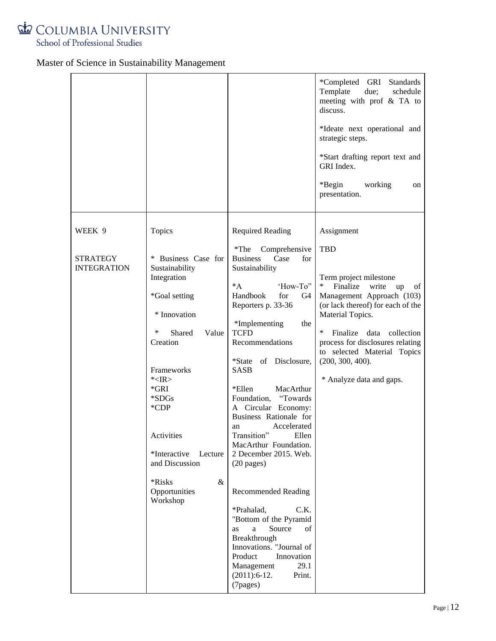

|                                       |                                                                                                                                                                                                                                                                                          |                                                                                                                                                                                                                                                                                                                                                                                                                                                                                                                                                                                                                                                                                                                               | *Completed GRI<br><b>Standards</b><br>Template<br>due;<br>schedule<br>meeting with prof & TA to<br>discuss.<br>*Ideate next operational and<br>strategic steps.<br>*Start drafting report text and<br>GRI Index.<br>*Begin<br>working<br>on<br>presentation.                                                        |
|---------------------------------------|------------------------------------------------------------------------------------------------------------------------------------------------------------------------------------------------------------------------------------------------------------------------------------------|-------------------------------------------------------------------------------------------------------------------------------------------------------------------------------------------------------------------------------------------------------------------------------------------------------------------------------------------------------------------------------------------------------------------------------------------------------------------------------------------------------------------------------------------------------------------------------------------------------------------------------------------------------------------------------------------------------------------------------|---------------------------------------------------------------------------------------------------------------------------------------------------------------------------------------------------------------------------------------------------------------------------------------------------------------------|
| WEEK 9                                | Topics                                                                                                                                                                                                                                                                                   | <b>Required Reading</b>                                                                                                                                                                                                                                                                                                                                                                                                                                                                                                                                                                                                                                                                                                       | Assignment                                                                                                                                                                                                                                                                                                          |
| <b>STRATEGY</b><br><b>INTEGRATION</b> | * Business Case for<br>Sustainability<br>Integration<br>*Goal setting<br>* Innovation<br>∗<br>Shared<br>Value<br>Creation<br>Frameworks<br>K>E<br>$*GRI$<br>$*SDGs$<br>$*$ CDP<br>Activities<br>*Interactive<br>Lecture<br>and Discussion<br>$\&$<br>*Risks<br>Opportunities<br>Workshop | $*$ The<br>Comprehensive<br><b>Business</b><br>Case<br>for<br>Sustainability<br>$^*A$<br>'How-To"<br>Handbook<br>for<br>G <sub>4</sub><br>Reporters p. 33-36<br>*Implementing<br>the<br><b>TCFD</b><br>Recommendations<br>*State of Disclosure,<br><b>SASB</b><br>*Ellen<br>MacArthur<br>"Towards"<br>Foundation,<br>A Circular Economy:<br>Business Rationale for<br>Accelerated<br>an<br>Transition"<br>Ellen<br>MacArthur Foundation.<br>2 December 2015. Web.<br>$(20$ pages)<br><b>Recommended Reading</b><br>*Prahalad,<br>C.K.<br>"Bottom of the Pyramid<br>Source<br>of<br>a<br>as<br>Breakthrough<br>Innovations. "Journal of<br>Product<br>Innovation<br>Management<br>29.1<br>Print.<br>$(2011):6-12.$<br>(7pages) | TBD<br>Term project milestone<br>∗<br>Finalize<br>write<br>up<br>of<br>Management Approach (103)<br>(or lack thereof) for each of the<br>Material Topics.<br>∗<br>Finalize<br>data<br>collection<br>process for disclosures relating<br>to selected Material Topics<br>(200, 300, 400).<br>* Analyze data and gaps. |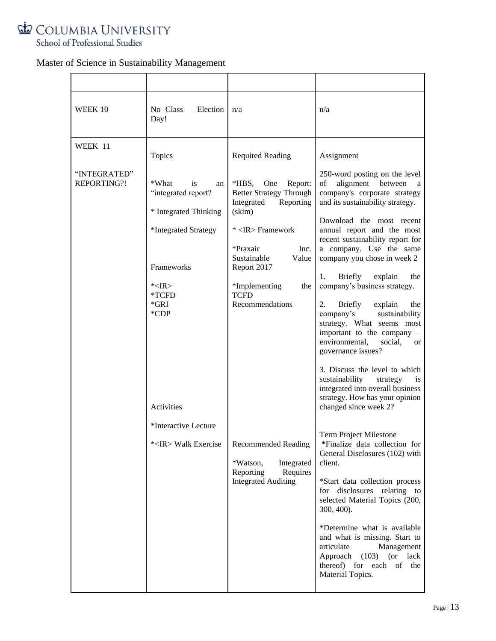

| WEEK 10                                | No $Class$ – Election<br>Day!                                                                                                                                                                                                    | n/a                                                                                                                                                                                                                                                                                                                                                                                                               | n/a                                                                                                                                                                                                                                                                                                                                                                                                                                                                                                                                                                                                                                                                                                                                                                                                                                                                                                                                                                                                                                                                  |
|----------------------------------------|----------------------------------------------------------------------------------------------------------------------------------------------------------------------------------------------------------------------------------|-------------------------------------------------------------------------------------------------------------------------------------------------------------------------------------------------------------------------------------------------------------------------------------------------------------------------------------------------------------------------------------------------------------------|----------------------------------------------------------------------------------------------------------------------------------------------------------------------------------------------------------------------------------------------------------------------------------------------------------------------------------------------------------------------------------------------------------------------------------------------------------------------------------------------------------------------------------------------------------------------------------------------------------------------------------------------------------------------------------------------------------------------------------------------------------------------------------------------------------------------------------------------------------------------------------------------------------------------------------------------------------------------------------------------------------------------------------------------------------------------|
| WEEK 11<br>"INTEGRATED"<br>REPORTING?! | Topics<br>*What<br>is<br>an<br>"integrated report?<br>* Integrated Thinking<br>*Integrated Strategy<br>Frameworks<br>K>E<br>*TCFD<br>$*GRI$<br>$*$ CDP<br><b>Activities</b><br>*Interactive Lecture<br>* <ir> Walk Exercise</ir> | <b>Required Reading</b><br>$*HBS$ ,<br>One<br>Report:<br><b>Better Strategy Through</b><br>Integrated<br>Reporting<br>$(\text{skim})$<br>* <ir> Framework<br/>*Praxair<br/>Inc.<br/>Sustainable<br/>Value<br/>Report 2017<br/>*Implementing<br/>the<br/><b>TCFD</b><br/>Recommendations<br/><b>Recommended Reading</b><br/>Integrated<br/>*Watson,<br/>Reporting<br/>Requires<br/><b>Integrated Auditing</b></ir> | Assignment<br>250-word posting on the level<br>of<br>alignment between<br>a<br>company's corporate strategy<br>and its sustainability strategy.<br>Download the most recent<br>annual report and the most<br>recent sustainability report for<br>a company. Use the same<br>company you chose in week 2<br>Briefly<br>1.<br>explain<br>the<br>company's business strategy.<br><b>Briefly</b><br>2.<br>explain<br>the<br>sustainability<br>company's<br>strategy. What seems most<br>important to the company -<br>environmental,<br>social,<br>or<br>governance issues?<br>3. Discuss the level to which<br>sustainability<br>strategy<br>1S<br>integrated into overall business<br>strategy. How has your opinion<br>changed since week 2?<br>Term Project Milestone<br>*Finalize data collection for<br>General Disclosures (102) with<br>client.<br>*Start data collection process<br>disclosures relating to<br>for<br>selected Material Topics (200,<br>300, 400).<br>*Determine what is available<br>and what is missing. Start to<br>articulate<br>Management |
|                                        |                                                                                                                                                                                                                                  |                                                                                                                                                                                                                                                                                                                                                                                                                   | Approach (103) (or lack<br>thereof) for each of the<br>Material Topics.                                                                                                                                                                                                                                                                                                                                                                                                                                                                                                                                                                                                                                                                                                                                                                                                                                                                                                                                                                                              |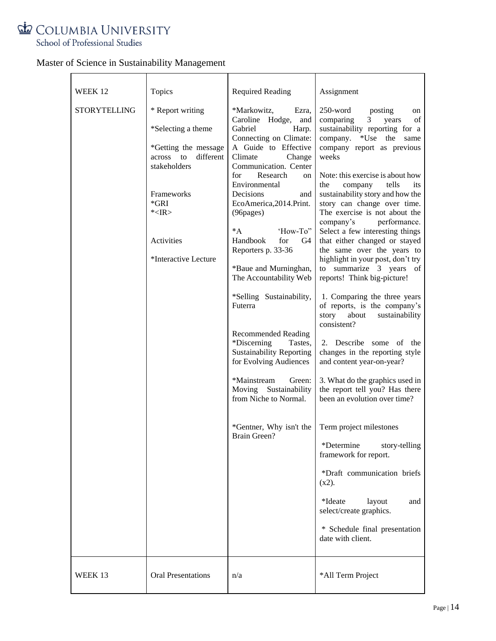

| WEEK 12             | Topics                                                                                                                                                                        | <b>Required Reading</b>                                                                                                                                                                                                                                                                                                                                                | Assignment                                                                                                                                                                                                                                                                                                                                                                                                                                                                                                                                                        |
|---------------------|-------------------------------------------------------------------------------------------------------------------------------------------------------------------------------|------------------------------------------------------------------------------------------------------------------------------------------------------------------------------------------------------------------------------------------------------------------------------------------------------------------------------------------------------------------------|-------------------------------------------------------------------------------------------------------------------------------------------------------------------------------------------------------------------------------------------------------------------------------------------------------------------------------------------------------------------------------------------------------------------------------------------------------------------------------------------------------------------------------------------------------------------|
| <b>STORYTELLING</b> | * Report writing<br>*Selecting a theme<br>*Getting the message<br>across to<br>different<br>stakeholders<br>Frameworks<br>$*GRI$<br>K>E<br>Activities<br>*Interactive Lecture | *Markowitz,<br>Ezra,<br>Caroline Hodge,<br>and<br>Gabriel<br>Harp.<br>Connecting on Climate:<br>A Guide to Effective<br>Climate<br>Change<br>Communication. Center<br>for<br>Research<br>on<br>Environmental<br>Decisions<br>and<br>EcoAmerica, 2014. Print.<br>(96pages)<br>$^*A$<br>'How-To"<br>Handbook<br>for<br>G4<br>Reporters p. 33-36<br>*Baue and Murninghan, | $250$ -word<br>posting<br>on<br>3 <sup>1</sup><br>of<br>comparing<br>years<br>sustainability reporting for a<br>company.<br>$*Use$<br>the<br>same<br>company report as previous<br>weeks<br>Note: this exercise is about how<br>tells<br>the<br>company<br>its<br>sustainability story and how the<br>story can change over time.<br>The exercise is not about the<br>performance.<br>company's<br>Select a few interesting things<br>that either changed or stayed<br>the same over the years to<br>highlight in your post, don't try<br>to summarize 3 years of |
|                     |                                                                                                                                                                               | The Accountability Web<br>*Selling Sustainability,<br>Futerra<br><b>Recommended Reading</b><br>*Discerning<br>Tastes,<br><b>Sustainability Reporting</b><br>for Evolving Audiences<br>*Mainstream<br>Green:<br>Moving Sustainability<br>from Niche to Normal.                                                                                                          | reports! Think big-picture!<br>1. Comparing the three years<br>of reports, is the company's<br>about sustainability<br>story<br>consistent?<br>2. Describe some of the<br>changes in the reporting style<br>and content year-on-year?<br>3. What do the graphics used in<br>the report tell you? Has there<br>been an evolution over time?                                                                                                                                                                                                                        |
|                     |                                                                                                                                                                               | *Gentner, Why isn't the<br>Brain Green?                                                                                                                                                                                                                                                                                                                                | Term project milestones<br>*Determine<br>story-telling<br>framework for report.<br>*Draft communication briefs<br>$(x2)$ .<br>*Ideate<br>layout<br>and<br>select/create graphics.<br>* Schedule final presentation<br>date with client.                                                                                                                                                                                                                                                                                                                           |
| WEEK 13             | <b>Oral Presentations</b>                                                                                                                                                     | n/a                                                                                                                                                                                                                                                                                                                                                                    | *All Term Project                                                                                                                                                                                                                                                                                                                                                                                                                                                                                                                                                 |